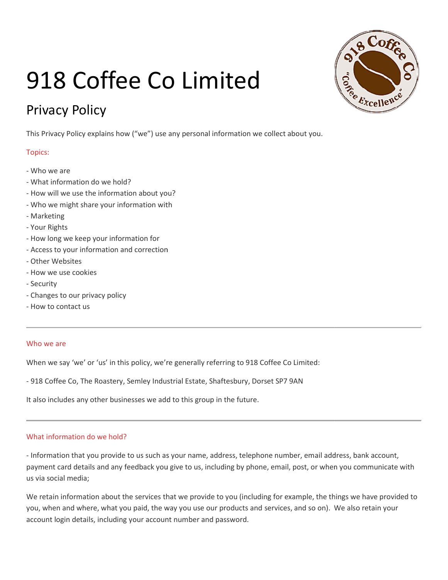# 918 Coffee Co Limited

# Privacy Policy

This Privacy Policy explains how ("we") use any personal information we collect about you.

## Topics:

- Who we are
- What information do we hold?
- How will we use the information about you?
- Who we might share your information with
- Marketing
- Your Rights
- How long we keep your information for
- Access to your information and correction
- Other Websites
- How we use cookies
- Security
- Changes to our privacy policy
- How to contact us

#### Who we are

When we say 'we' or 'us' in this policy, we're generally referring to 918 Coffee Co Limited: information and correction<br>s<br>okies<br>r privacy policy<br>us<br>e' or 'us' in this policy, we're generally referring to 918 Coffee Co Limited:

- 918 Coffee Co, The Roastery, Semley Industrial Estate, Shaftesbury, Dorset SP7 9AN<br>It also includes any other businesses we add to this group in the future.

It also includes any other businesses we add to this group in the future.

### What information do we hold?

- Information that you provide to us such as your name, address, telephone number, email address, bank account, us via social media;

payment card details and any feedback you give to us, including by phone, email, post, or when you communicate with<br>us via social media;<br>We retain information about the services that we provide to you (including for exampl We retain information about the services that we provide to you (including for example, the things we have provided to you, when and where, what you paid, the way you use our products and services, and so on). We also retain your<br>account login details, including your account number and password. account login details, including your account number and password.

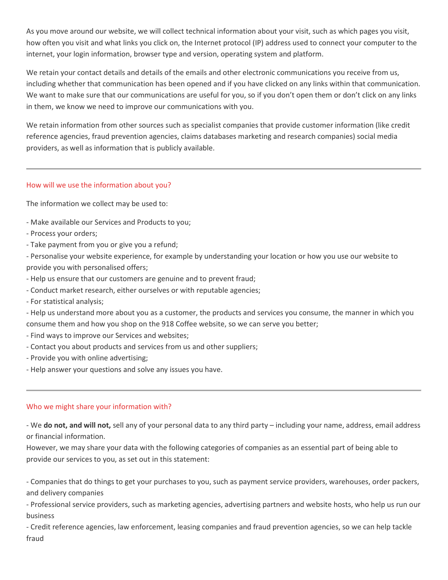As you move around our website, we will collect technical information about your visit, such as which pages you visit, how often you visit and what links you click on, the Internet protocol (IP) address used to connect your computer to the internet, your login information, browser type and version, operating system and platform.

We retain your contact details and details of the emails and other electronic communications you receive from us, including whether that communication has been opened and if you have clicked on any links within that communication. We want to make sure that our communications are useful for you, so if you don't open them or don't click on any links in them, we know we need to improve our communications with you.

We retain information from other sources such as specialist companies that provide customer information (like credit reference agencies, fraud prevention agencies, claims databases marketing and research companies) social media providers, as well as information that is publicly available.

#### How will we use the information about you?

The information we collect may be used to:

- Make available our Services and Products to you;
- Process your orders;
- Take payment from you or give you a refund;

- Personalise your website experience, for example by understanding your location or how you use our website to provide you with personalised offers;

- Help us ensure that our customers are genuine and to prevent fraud;
- Conduct market research, either ourselves or with reputable agencies;
- For statistical analysis;

- Help us understand more about you as a customer, the products and services you consume, the manner in which you consume them and how you shop on the 918 Coffee website, so we can serve you better;

- Find ways to improve our Services and websites;
- Contact you about products and services from us and other suppliers;
- Provide you with online advertising;
- Help answer your questions and solve any issues you have.

#### Who we might share your information with?

- We do not, and will not, sell any of your personal data to any third party – including your name, address, email address or financial information.

However, we may share your data with the following categories of companies as an essential part of being able to provide our services to you, as set out in this statement:

- Companies that do things to get your purchases to you, such as payment service providers, warehouses, order packers, and delivery companies

- Professional service providers, such as marketing agencies, advertising partners and website hosts, who help us run our business

- Credit reference agencies, law enforcement, leasing companies and fraud prevention agencies, so we can help tackle fraud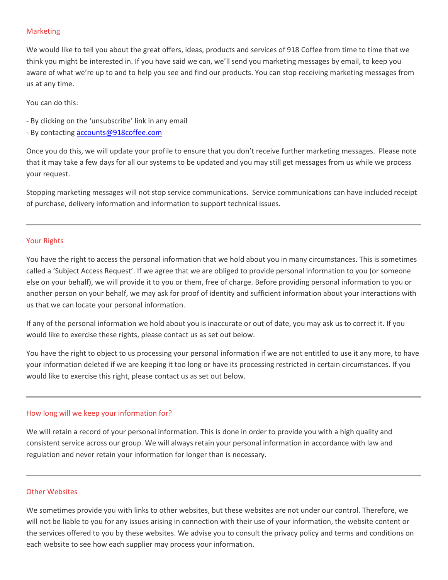#### Marketing

We would like to tell you about the great offers, ideas, products and services of 918 Coffee from time to time that we think you might be interested in. If you have said we can, we'll send you marketing messages by email, to keep you aware of what we're up to and to help you see and find our products. You can stop receiving marketing messages from us at any time.

You can do this:

- By clicking on the 'unsubscribe' link in any email
- By contacting **accounts@918coffee.com**

Once you do this, we will update your profile to ensure that you don't receive further marketing messages. Please note that it may take a few days for all our systems to be updated and you may still get messages from us while we process your request.

Stopping marketing messages will not stop service communications. Service communications can have included receipt of purchase, delivery information and information to support technical issues.

#### Your Rights

You have the right to access the personal information that we hold about you in many circumstances. This is sometimes called a 'Subject Access Request'. If we agree that we are obliged to provide personal information to you (or someone else on your behalf), we will provide it to you or them, free of charge. Before providing personal information to you or another person on your behalf, we may ask for proof of identity and sufficient information about your interactions with us that we can locate your personal information.

If any of the personal information we hold about you is inaccurate or out of date, you may ask us to correct it. If you would like to exercise these rights, please contact us as set out below.

You have the right to object to us processing your personal information if we are not entitled to use it any more, to have your information deleted if we are keeping it too long or have its processing restricted in certain circumstances. If you would like to exercise this right, please contact us as set out below.

#### How long will we keep your information for?

We will retain a record of your personal information. This is done in order to provide you with a high quality and consistent service across our group. We will always retain your personal information in accordance with law and regulation and never retain your information for longer than is necessary.

#### Other Websites

We sometimes provide you with links to other websites, but these websites are not under our control. Therefore, we will not be liable to you for any issues arising in connection with their use of your information, the website content or the services offered to you by these websites. We advise you to consult the privacy policy and terms and conditions on each website to see how each supplier may process your information.